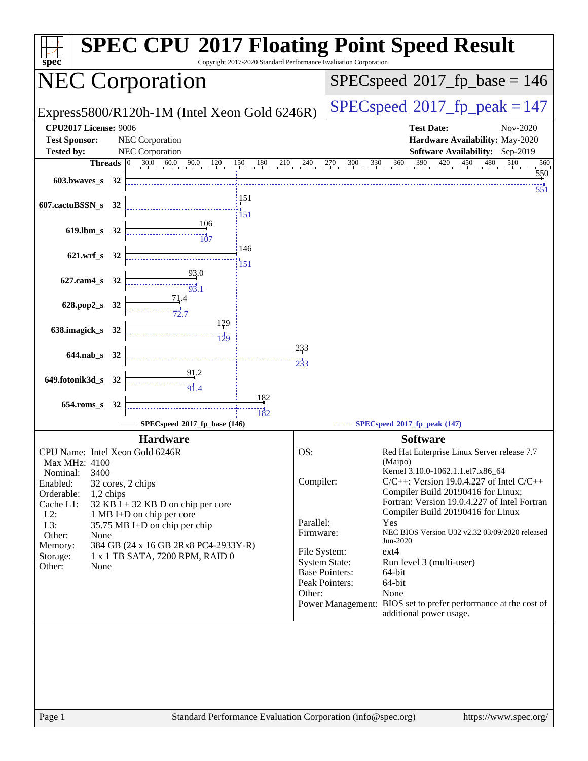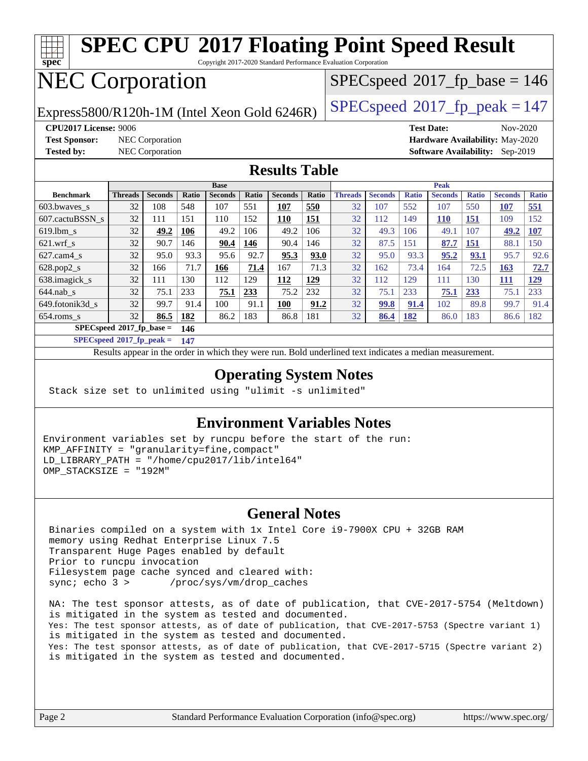| <b>SPEC CPU®2017 Floating Point Speed Result</b>                                                         |                                                                       |                |       |                |       |                                          |       |                |                |              |                |              |                |              |
|----------------------------------------------------------------------------------------------------------|-----------------------------------------------------------------------|----------------|-------|----------------|-------|------------------------------------------|-------|----------------|----------------|--------------|----------------|--------------|----------------|--------------|
| Copyright 2017-2020 Standard Performance Evaluation Corporation<br>$spec^*$                              |                                                                       |                |       |                |       |                                          |       |                |                |              |                |              |                |              |
| <b>NEC Corporation</b>                                                                                   |                                                                       |                |       |                |       | $SPEC speed^{\circ}2017\_fp\_base = 146$ |       |                |                |              |                |              |                |              |
| Express5800/R120h-1M (Intel Xeon Gold 6246R)                                                             |                                                                       |                |       |                |       | $SPEC speed^{\circ}2017$ _fp_peak = 147  |       |                |                |              |                |              |                |              |
| <b>CPU2017 License: 9006</b><br><b>Test Date:</b><br>Nov-2020                                            |                                                                       |                |       |                |       |                                          |       |                |                |              |                |              |                |              |
| <b>Test Sponsor:</b><br>Hardware Availability: May-2020<br><b>NEC</b> Corporation                        |                                                                       |                |       |                |       |                                          |       |                |                |              |                |              |                |              |
| <b>Tested by:</b>                                                                                        | <b>NEC Corporation</b><br><b>Software Availability:</b><br>$Sep-2019$ |                |       |                |       |                                          |       |                |                |              |                |              |                |              |
| <b>Results Table</b>                                                                                     |                                                                       |                |       |                |       |                                          |       |                |                |              |                |              |                |              |
|                                                                                                          | <b>Base</b>                                                           |                |       |                |       | Peak                                     |       |                |                |              |                |              |                |              |
| <b>Benchmark</b>                                                                                         | <b>Threads</b>                                                        | <b>Seconds</b> | Ratio | <b>Seconds</b> | Ratio | <b>Seconds</b>                           | Ratio | <b>Threads</b> | <b>Seconds</b> | <b>Ratio</b> | <b>Seconds</b> | <b>Ratio</b> | <b>Seconds</b> | <b>Ratio</b> |
| 603.bwayes s                                                                                             | 32                                                                    | 108            | 548   | 107            | 551   | 107                                      | 550   | 32             | 107            | 552          | 107            | 550          | 107            | 551          |
| 607.cactuBSSN s                                                                                          | 32                                                                    | 111            | 151   | 110            | 152   | 110                                      | 151   | 32             | 112            | 149          | 110            | 151          | 109            | 152          |
| $619.1$ bm s                                                                                             | 32                                                                    | 49.2           | 106   | 49.2           | 106   | 49.2                                     | 106   | 32             | 49.3           | 106          | 49.1           | 107          | 49.2           | <b>107</b>   |
| $621$ .wrf s                                                                                             | 32                                                                    | 90.7           | 146   | 90.4           | 146   | 90.4                                     | 146   | 32             | 87.5           | 151          | 87.7           | 151          | 88.1           | 150          |
| $627$ .cam4 s                                                                                            | 32                                                                    | 95.0           | 93.3  | 95.6           | 92.7  | 95.3                                     | 93.0  | 32             | 95.0           | 93.3         | 95.2           | 93.1         | 95.7           | 92.6         |
| $628.pop2_s$                                                                                             | 32                                                                    | 166            | 71.7  | 166            | 71.4  | 167                                      | 71.3  | 32             | 162            | 73.4         | 164            | 72.5         | 163            | 72.7         |
| 638.imagick_s                                                                                            | 32                                                                    | 111            | 130   | 112            | 129   | 112                                      | 129   | 32             | 112            | 129          | 111            | 130          | 111            | <b>129</b>   |
| $644$ .nab s                                                                                             | 32                                                                    | 75.1           | 233   | 75.1           | 233   | 75.2                                     | 232   | 32             | 75.1           | 233          | 75.1           | 233          | 75.1           | 233          |
| 649.fotonik3d s                                                                                          | 32                                                                    | 99.7           | 91.4  | 100            | 91.1  | 100                                      | 91.2  | 32             | 99.8           | 91.4         | 102            | 89.8         | 99.7           | 91.4         |
| $654$ .roms s                                                                                            | 32                                                                    | 86.5           | 182   | 86.2           | 183   | 86.8                                     | 181   | 32             | 86.4           | 182          | 86.0           | 183          | 86.6           | 182          |
| $SPECspeed*2017_fp\_base =$<br>146                                                                       |                                                                       |                |       |                |       |                                          |       |                |                |              |                |              |                |              |
| $SPECspeed*2017_fp\_peak =$<br>147                                                                       |                                                                       |                |       |                |       |                                          |       |                |                |              |                |              |                |              |
| Results appear in the order in which they were run. Bold underlined text indicates a median measurement. |                                                                       |                |       |                |       |                                          |       |                |                |              |                |              |                |              |
|                                                                                                          |                                                                       |                |       |                |       |                                          |       |                |                |              |                |              |                |              |

#### **[Operating System Notes](http://www.spec.org/auto/cpu2017/Docs/result-fields.html#OperatingSystemNotes)**

Stack size set to unlimited using "ulimit -s unlimited"

#### **[Environment Variables Notes](http://www.spec.org/auto/cpu2017/Docs/result-fields.html#EnvironmentVariablesNotes)**

Environment variables set by runcpu before the start of the run: KMP\_AFFINITY = "granularity=fine,compact" LD\_LIBRARY\_PATH = "/home/cpu2017/lib/intel64" OMP\_STACKSIZE = "192M"

#### **[General Notes](http://www.spec.org/auto/cpu2017/Docs/result-fields.html#GeneralNotes)**

 Binaries compiled on a system with 1x Intel Core i9-7900X CPU + 32GB RAM memory using Redhat Enterprise Linux 7.5 Transparent Huge Pages enabled by default Prior to runcpu invocation Filesystem page cache synced and cleared with: sync; echo 3 > /proc/sys/vm/drop\_caches

 NA: The test sponsor attests, as of date of publication, that CVE-2017-5754 (Meltdown) is mitigated in the system as tested and documented. Yes: The test sponsor attests, as of date of publication, that CVE-2017-5753 (Spectre variant 1) is mitigated in the system as tested and documented. Yes: The test sponsor attests, as of date of publication, that CVE-2017-5715 (Spectre variant 2) is mitigated in the system as tested and documented.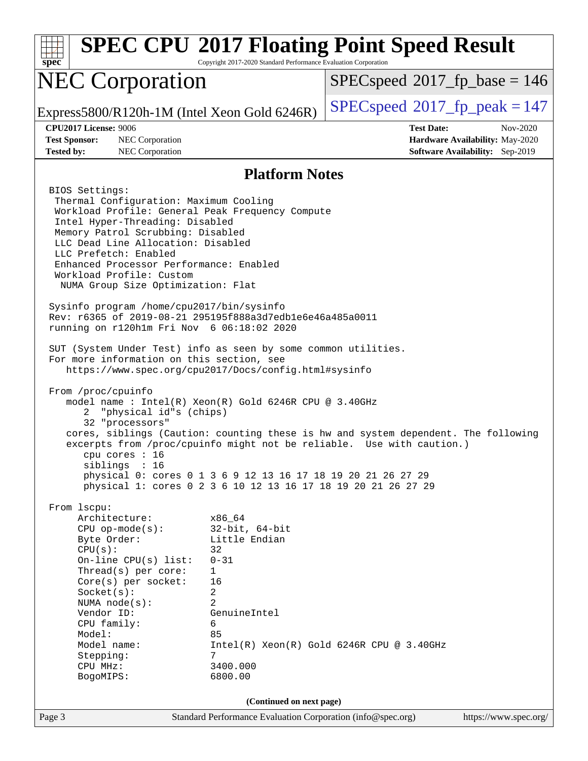| <b>NEC Corporation</b><br>$SPEC speed^{\circ}2017$ fp base = 146<br>$SPEC speed^{\circ}2017$ fp peak = 147<br>Express5800/R120h-1M (Intel Xeon Gold 6246R)<br><b>CPU2017 License: 9006</b><br><b>Test Date:</b><br>Nov-2020<br><b>Test Sponsor:</b><br>NEC Corporation<br>Hardware Availability: May-2020<br>Software Availability: Sep-2019<br><b>Tested by:</b><br>NEC Corporation<br><b>Platform Notes</b><br>BIOS Settings:<br>Thermal Configuration: Maximum Cooling<br>Workload Profile: General Peak Frequency Compute<br>Intel Hyper-Threading: Disabled<br>Memory Patrol Scrubbing: Disabled<br>LLC Dead Line Allocation: Disabled<br>LLC Prefetch: Enabled<br>Enhanced Processor Performance: Enabled<br>Workload Profile: Custom<br>NUMA Group Size Optimization: Flat<br>Sysinfo program /home/cpu2017/bin/sysinfo<br>Rev: r6365 of 2019-08-21 295195f888a3d7edble6e46a485a0011<br>running on r120h1m Fri Nov 6 06:18:02 2020<br>SUT (System Under Test) info as seen by some common utilities.<br>For more information on this section, see<br>https://www.spec.org/cpu2017/Docs/config.html#sysinfo<br>From /proc/cpuinfo<br>model name: $Intel(R)$ Xeon $(R)$ Gold 6246R CPU @ 3.40GHz<br>"physical id"s (chips)<br>2<br>32 "processors"<br>cores, siblings (Caution: counting these is hw and system dependent. The following<br>excerpts from /proc/cpuinfo might not be reliable. Use with caution.)<br>cpu cores : 16<br>siblings : 16<br>physical 0: cores 0 1 3 6 9 12 13 16 17 18 19 20 21 26 27 29<br>physical 1: cores 0 2 3 6 10 12 13 16 17 18 19 20 21 26 27 29<br>From lscpu:<br>Architecture:<br>x86 64<br>$CPU$ op-mode(s):<br>$32$ -bit, $64$ -bit<br>Little Endian<br>Byte Order:<br>32<br>CPU(s):<br>$0 - 31$<br>On-line $CPU(s)$ list:<br>Thread(s) per core:<br>1<br>Core(s) per socket:<br>16<br>2<br>Socket(s):<br>2<br>NUMA node(s):<br>Vendor ID:<br>GenuineIntel<br>CPU family:<br>6<br>Model:<br>85<br>Model name:<br>$Intel(R) Xeon(R) Gold 6246R CPU @ 3.40GHz$<br>Stepping:<br>7<br>3400.000<br>CPU MHz:<br>6800.00<br>BogoMIPS:<br>(Continued on next page) | $spec^*$ | Copyright 2017-2020 Standard Performance Evaluation Corporation | <b>SPEC CPU®2017 Floating Point Speed Result</b> |  |  |  |  |  |  |
|----------------------------------------------------------------------------------------------------------------------------------------------------------------------------------------------------------------------------------------------------------------------------------------------------------------------------------------------------------------------------------------------------------------------------------------------------------------------------------------------------------------------------------------------------------------------------------------------------------------------------------------------------------------------------------------------------------------------------------------------------------------------------------------------------------------------------------------------------------------------------------------------------------------------------------------------------------------------------------------------------------------------------------------------------------------------------------------------------------------------------------------------------------------------------------------------------------------------------------------------------------------------------------------------------------------------------------------------------------------------------------------------------------------------------------------------------------------------------------------------------------------------------------------------------------------------------------------------------------------------------------------------------------------------------------------------------------------------------------------------------------------------------------------------------------------------------------------------------------------------------------------------------------------------------------------------------------------------------------------------------------------------------------------------------------------------------------------------------------|----------|-----------------------------------------------------------------|--------------------------------------------------|--|--|--|--|--|--|
|                                                                                                                                                                                                                                                                                                                                                                                                                                                                                                                                                                                                                                                                                                                                                                                                                                                                                                                                                                                                                                                                                                                                                                                                                                                                                                                                                                                                                                                                                                                                                                                                                                                                                                                                                                                                                                                                                                                                                                                                                                                                                                          |          |                                                                 |                                                  |  |  |  |  |  |  |
|                                                                                                                                                                                                                                                                                                                                                                                                                                                                                                                                                                                                                                                                                                                                                                                                                                                                                                                                                                                                                                                                                                                                                                                                                                                                                                                                                                                                                                                                                                                                                                                                                                                                                                                                                                                                                                                                                                                                                                                                                                                                                                          |          |                                                                 |                                                  |  |  |  |  |  |  |
|                                                                                                                                                                                                                                                                                                                                                                                                                                                                                                                                                                                                                                                                                                                                                                                                                                                                                                                                                                                                                                                                                                                                                                                                                                                                                                                                                                                                                                                                                                                                                                                                                                                                                                                                                                                                                                                                                                                                                                                                                                                                                                          |          |                                                                 |                                                  |  |  |  |  |  |  |
|                                                                                                                                                                                                                                                                                                                                                                                                                                                                                                                                                                                                                                                                                                                                                                                                                                                                                                                                                                                                                                                                                                                                                                                                                                                                                                                                                                                                                                                                                                                                                                                                                                                                                                                                                                                                                                                                                                                                                                                                                                                                                                          |          |                                                                 |                                                  |  |  |  |  |  |  |
|                                                                                                                                                                                                                                                                                                                                                                                                                                                                                                                                                                                                                                                                                                                                                                                                                                                                                                                                                                                                                                                                                                                                                                                                                                                                                                                                                                                                                                                                                                                                                                                                                                                                                                                                                                                                                                                                                                                                                                                                                                                                                                          |          |                                                                 |                                                  |  |  |  |  |  |  |
|                                                                                                                                                                                                                                                                                                                                                                                                                                                                                                                                                                                                                                                                                                                                                                                                                                                                                                                                                                                                                                                                                                                                                                                                                                                                                                                                                                                                                                                                                                                                                                                                                                                                                                                                                                                                                                                                                                                                                                                                                                                                                                          |          |                                                                 |                                                  |  |  |  |  |  |  |
| Page 3<br>Standard Performance Evaluation Corporation (info@spec.org)<br>https://www.spec.org/                                                                                                                                                                                                                                                                                                                                                                                                                                                                                                                                                                                                                                                                                                                                                                                                                                                                                                                                                                                                                                                                                                                                                                                                                                                                                                                                                                                                                                                                                                                                                                                                                                                                                                                                                                                                                                                                                                                                                                                                           |          |                                                                 |                                                  |  |  |  |  |  |  |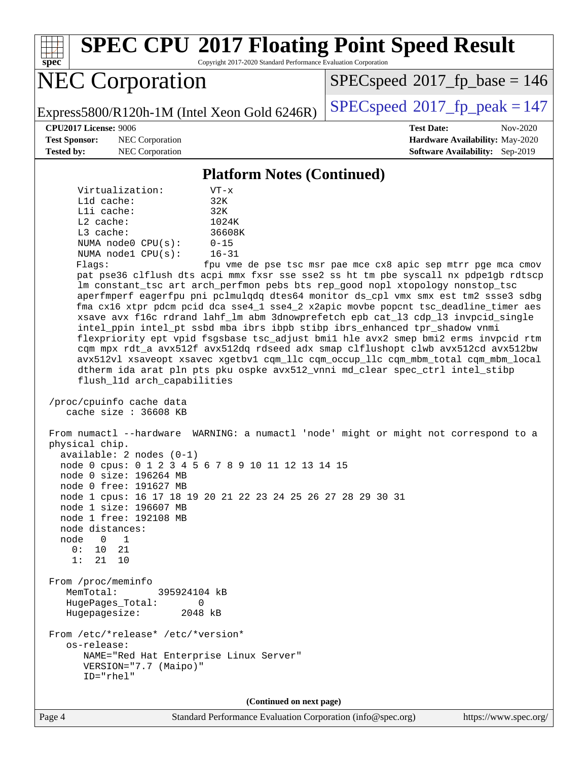**[spec](http://www.spec.org/) [SPEC CPU](http://www.spec.org/auto/cpu2017/Docs/result-fields.html#SPECCPU2017FloatingPointSpeedResult)[2017 Floating Point Speed Result](http://www.spec.org/auto/cpu2017/Docs/result-fields.html#SPECCPU2017FloatingPointSpeedResult)** Copyright 2017-2020 Standard Performance Evaluation Corporation NEC Corporation Express5800/R120h-1M (Intel Xeon Gold 6246R)  $\big|$  [SPECspeed](http://www.spec.org/auto/cpu2017/Docs/result-fields.html#SPECspeed2017fppeak)<sup>®</sup>[2017\\_fp\\_peak = 1](http://www.spec.org/auto/cpu2017/Docs/result-fields.html#SPECspeed2017fppeak)47 [SPECspeed](http://www.spec.org/auto/cpu2017/Docs/result-fields.html#SPECspeed2017fpbase)<sup>®</sup>2017 fp base = 146 **[CPU2017 License:](http://www.spec.org/auto/cpu2017/Docs/result-fields.html#CPU2017License)** 9006 **[Test Date:](http://www.spec.org/auto/cpu2017/Docs/result-fields.html#TestDate)** Nov-2020 **[Test Sponsor:](http://www.spec.org/auto/cpu2017/Docs/result-fields.html#TestSponsor)** NEC Corporation **[Hardware Availability:](http://www.spec.org/auto/cpu2017/Docs/result-fields.html#HardwareAvailability)** May-2020 **[Tested by:](http://www.spec.org/auto/cpu2017/Docs/result-fields.html#Testedby)** NEC Corporation **[Software Availability:](http://www.spec.org/auto/cpu2017/Docs/result-fields.html#SoftwareAvailability)** Sep-2019 **[Platform Notes \(Continued\)](http://www.spec.org/auto/cpu2017/Docs/result-fields.html#PlatformNotes)** Virtualization: VT-x L1d cache: 32K L1i cache: 32K L2 cache: 1024K L3 cache: 36608K NUMA node0 CPU(s): 0-15 NUMA node1 CPU(s): 16-31 Flags: fpu vme de pse tsc msr pae mce cx8 apic sep mtrr pge mca cmov pat pse36 clflush dts acpi mmx fxsr sse sse2 ss ht tm pbe syscall nx pdpe1gb rdtscp lm constant\_tsc art arch\_perfmon pebs bts rep\_good nopl xtopology nonstop\_tsc aperfmperf eagerfpu pni pclmulqdq dtes64 monitor ds\_cpl vmx smx est tm2 ssse3 sdbg fma cx16 xtpr pdcm pcid dca sse4\_1 sse4\_2 x2apic movbe popcnt tsc\_deadline\_timer aes xsave avx f16c rdrand lahf\_lm abm 3dnowprefetch epb cat\_l3 cdp\_l3 invpcid\_single intel\_ppin intel\_pt ssbd mba ibrs ibpb stibp ibrs\_enhanced tpr\_shadow vnmi flexpriority ept vpid fsgsbase tsc\_adjust bmi1 hle avx2 smep bmi2 erms invpcid rtm cqm mpx rdt\_a avx512f avx512dq rdseed adx smap clflushopt clwb avx512cd avx512bw avx512vl xsaveopt xsavec xgetbv1 cqm\_llc cqm\_occup\_llc cqm\_mbm\_total cqm\_mbm\_local dtherm ida arat pln pts pku ospke avx512\_vnni md\_clear spec\_ctrl intel\_stibp flush\_l1d arch\_capabilities /proc/cpuinfo cache data cache size : 36608 KB From numactl --hardware WARNING: a numactl 'node' might or might not correspond to a physical chip. available: 2 nodes (0-1) node 0 cpus: 0 1 2 3 4 5 6 7 8 9 10 11 12 13 14 15 node 0 size: 196264 MB node 0 free: 191627 MB node 1 cpus: 16 17 18 19 20 21 22 23 24 25 26 27 28 29 30 31 node 1 size: 196607 MB node 1 free: 192108 MB node distances: node 0 1 0: 10 21 1: 21 10 From /proc/meminfo MemTotal: 395924104 kB HugePages\_Total: 0 Hugepagesize: 2048 kB From /etc/\*release\* /etc/\*version\* os-release: NAME="Red Hat Enterprise Linux Server" VERSION="7.7 (Maipo)" ID="rhel"

**(Continued on next page)**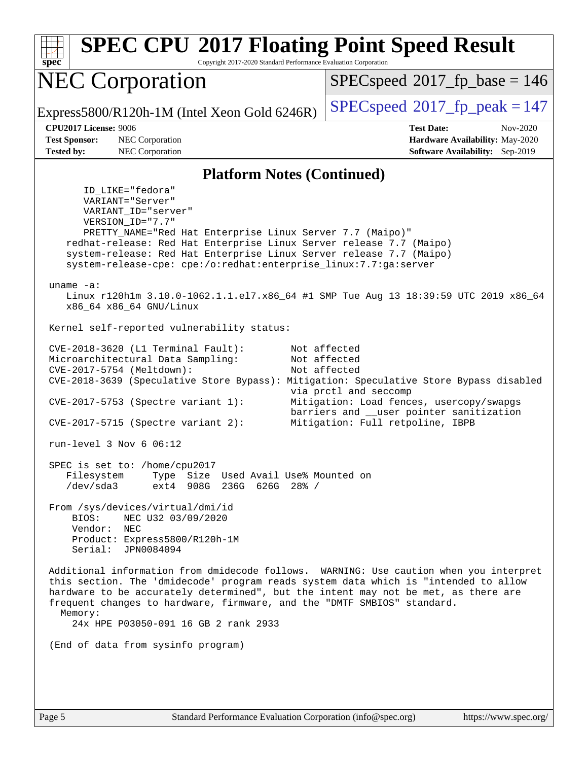**[spec](http://www.spec.org/) [SPEC CPU](http://www.spec.org/auto/cpu2017/Docs/result-fields.html#SPECCPU2017FloatingPointSpeedResult)[2017 Floating Point Speed Result](http://www.spec.org/auto/cpu2017/Docs/result-fields.html#SPECCPU2017FloatingPointSpeedResult)** Copyright 2017-2020 Standard Performance Evaluation Corporation NEC Corporation Express5800/R120h-1M (Intel Xeon Gold 6246R)  $\left|$  [SPECspeed](http://www.spec.org/auto/cpu2017/Docs/result-fields.html#SPECspeed2017fppeak)<sup>®</sup>[2017\\_fp\\_peak = 1](http://www.spec.org/auto/cpu2017/Docs/result-fields.html#SPECspeed2017fppeak)47 [SPECspeed](http://www.spec.org/auto/cpu2017/Docs/result-fields.html#SPECspeed2017fpbase)<sup>®</sup>2017 fp base = 146 **[CPU2017 License:](http://www.spec.org/auto/cpu2017/Docs/result-fields.html#CPU2017License)** 9006 **[Test Date:](http://www.spec.org/auto/cpu2017/Docs/result-fields.html#TestDate)** Nov-2020 **[Test Sponsor:](http://www.spec.org/auto/cpu2017/Docs/result-fields.html#TestSponsor)** NEC Corporation **[Hardware Availability:](http://www.spec.org/auto/cpu2017/Docs/result-fields.html#HardwareAvailability)** May-2020 **[Tested by:](http://www.spec.org/auto/cpu2017/Docs/result-fields.html#Testedby)** NEC Corporation **[Software Availability:](http://www.spec.org/auto/cpu2017/Docs/result-fields.html#SoftwareAvailability)** Sep-2019 **[Platform Notes \(Continued\)](http://www.spec.org/auto/cpu2017/Docs/result-fields.html#PlatformNotes)** ID\_LIKE="fedora" VARIANT="Server" VARIANT\_ID="server" VERSION\_ID="7.7" PRETTY\_NAME="Red Hat Enterprise Linux Server 7.7 (Maipo)" redhat-release: Red Hat Enterprise Linux Server release 7.7 (Maipo) system-release: Red Hat Enterprise Linux Server release 7.7 (Maipo) system-release-cpe: cpe:/o:redhat:enterprise\_linux:7.7:ga:server uname -a: Linux r120h1m 3.10.0-1062.1.1.el7.x86\_64 #1 SMP Tue Aug 13 18:39:59 UTC 2019 x86\_64 x86\_64 x86\_64 GNU/Linux Kernel self-reported vulnerability status: CVE-2018-3620 (L1 Terminal Fault): Not affected Microarchitectural Data Sampling: Not affected CVE-2017-5754 (Meltdown): Not affected CVE-2018-3639 (Speculative Store Bypass): Mitigation: Speculative Store Bypass disabled via prctl and seccomp CVE-2017-5753 (Spectre variant 1): Mitigation: Load fences, usercopy/swapgs barriers and \_\_user pointer sanitization CVE-2017-5715 (Spectre variant 2): Mitigation: Full retpoline, IBPB run-level 3 Nov 6 06:12 SPEC is set to: /home/cpu2017 Filesystem Type Size Used Avail Use% Mounted on /dev/sda3 ext4 908G 236G 626G 28% / From /sys/devices/virtual/dmi/id BIOS: NEC U32 03/09/2020 Vendor: NEC Product: Express5800/R120h-1M Serial: JPN0084094 Additional information from dmidecode follows. WARNING: Use caution when you interpret this section. The 'dmidecode' program reads system data which is "intended to allow hardware to be accurately determined", but the intent may not be met, as there are frequent changes to hardware, firmware, and the "DMTF SMBIOS" standard. Memory: 24x HPE P03050-091 16 GB 2 rank 2933 (End of data from sysinfo program)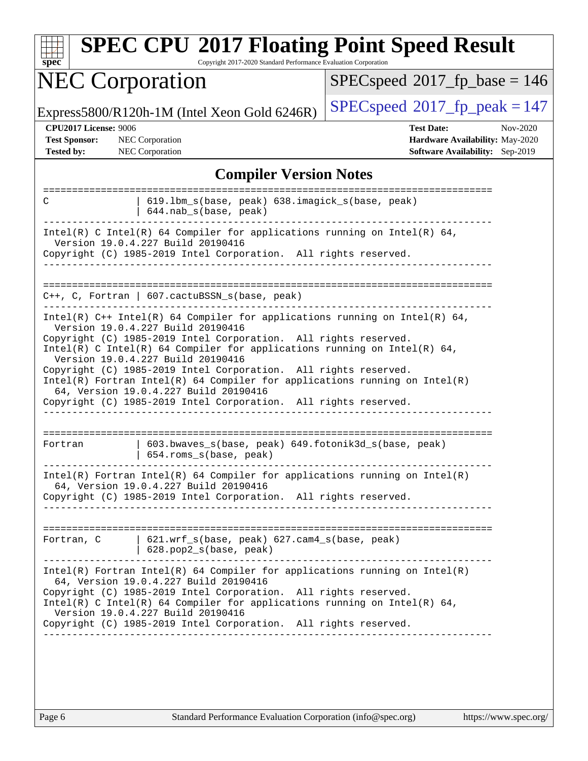| <b>SPEC CPU®2017 Floating Point Speed Result</b><br>Copyright 2017-2020 Standard Performance Evaluation Corporation<br>$spec^*$                                                                                                                                                                                                                                                                                                                                                                                                                                      |                                                                                                     |  |  |  |  |  |  |  |  |
|----------------------------------------------------------------------------------------------------------------------------------------------------------------------------------------------------------------------------------------------------------------------------------------------------------------------------------------------------------------------------------------------------------------------------------------------------------------------------------------------------------------------------------------------------------------------|-----------------------------------------------------------------------------------------------------|--|--|--|--|--|--|--|--|
| <b>NEC Corporation</b>                                                                                                                                                                                                                                                                                                                                                                                                                                                                                                                                               | $SPEC speed^{\circ}2017$ fp base = 146                                                              |  |  |  |  |  |  |  |  |
| Express5800/R120h-1M (Intel Xeon Gold 6246R)                                                                                                                                                                                                                                                                                                                                                                                                                                                                                                                         | $SPEC speed^{\circ}2017$ _fp_peak = 147                                                             |  |  |  |  |  |  |  |  |
| CPU2017 License: 9006<br><b>Test Sponsor:</b><br>NEC Corporation<br><b>Tested by:</b><br>NEC Corporation                                                                                                                                                                                                                                                                                                                                                                                                                                                             | <b>Test Date:</b><br>Nov-2020<br>Hardware Availability: May-2020<br>Software Availability: Sep-2019 |  |  |  |  |  |  |  |  |
| <b>Compiler Version Notes</b>                                                                                                                                                                                                                                                                                                                                                                                                                                                                                                                                        |                                                                                                     |  |  |  |  |  |  |  |  |
| 619.1bm_s(base, peak) 638.imagick_s(base, peak)<br>С<br>644.nab_s(base, peak)                                                                                                                                                                                                                                                                                                                                                                                                                                                                                        |                                                                                                     |  |  |  |  |  |  |  |  |
| Intel(R) C Intel(R) 64 Compiler for applications running on Intel(R) 64,<br>Version 19.0.4.227 Build 20190416<br>Copyright (C) 1985-2019 Intel Corporation. All rights reserved.                                                                                                                                                                                                                                                                                                                                                                                     |                                                                                                     |  |  |  |  |  |  |  |  |
| $C++$ , C, Fortran   607.cactuBSSN_s(base, peak)                                                                                                                                                                                                                                                                                                                                                                                                                                                                                                                     |                                                                                                     |  |  |  |  |  |  |  |  |
| Intel(R) $C++$ Intel(R) 64 Compiler for applications running on Intel(R) 64,<br>Version 19.0.4.227 Build 20190416<br>Copyright (C) 1985-2019 Intel Corporation. All rights reserved.<br>Intel(R) C Intel(R) 64 Compiler for applications running on Intel(R) 64,<br>Version 19.0.4.227 Build 20190416<br>Copyright (C) 1985-2019 Intel Corporation. All rights reserved.<br>$Intel(R)$ Fortran Intel(R) 64 Compiler for applications running on Intel(R)<br>64, Version 19.0.4.227 Build 20190416<br>Copyright (C) 1985-2019 Intel Corporation. All rights reserved. |                                                                                                     |  |  |  |  |  |  |  |  |
| ======================<br>603.bwaves_s(base, peak) 649.fotonik3d_s(base, peak)<br>Fortran<br>654.roms_s(base, peak)                                                                                                                                                                                                                                                                                                                                                                                                                                                  |                                                                                                     |  |  |  |  |  |  |  |  |
| $Intel(R)$ Fortran Intel(R) 64 Compiler for applications running on Intel(R)<br>64, Version 19.0.4.227 Build 20190416<br>Copyright (C) 1985-2019 Intel Corporation. All rights reserved.<br>_________________                                                                                                                                                                                                                                                                                                                                                        |                                                                                                     |  |  |  |  |  |  |  |  |
| Fortran, C   621.wrf_s(base, peak) 627.cam4_s(base, peak)<br>$  628.pop2_s(base, peak)$                                                                                                                                                                                                                                                                                                                                                                                                                                                                              |                                                                                                     |  |  |  |  |  |  |  |  |
| $Intel(R)$ Fortran Intel(R) 64 Compiler for applications running on Intel(R)<br>64, Version 19.0.4.227 Build 20190416<br>Copyright (C) 1985-2019 Intel Corporation. All rights reserved.<br>Intel(R) C Intel(R) 64 Compiler for applications running on Intel(R) 64,<br>Version 19.0.4.227 Build 20190416<br>Copyright (C) 1985-2019 Intel Corporation. All rights reserved.                                                                                                                                                                                         |                                                                                                     |  |  |  |  |  |  |  |  |
|                                                                                                                                                                                                                                                                                                                                                                                                                                                                                                                                                                      |                                                                                                     |  |  |  |  |  |  |  |  |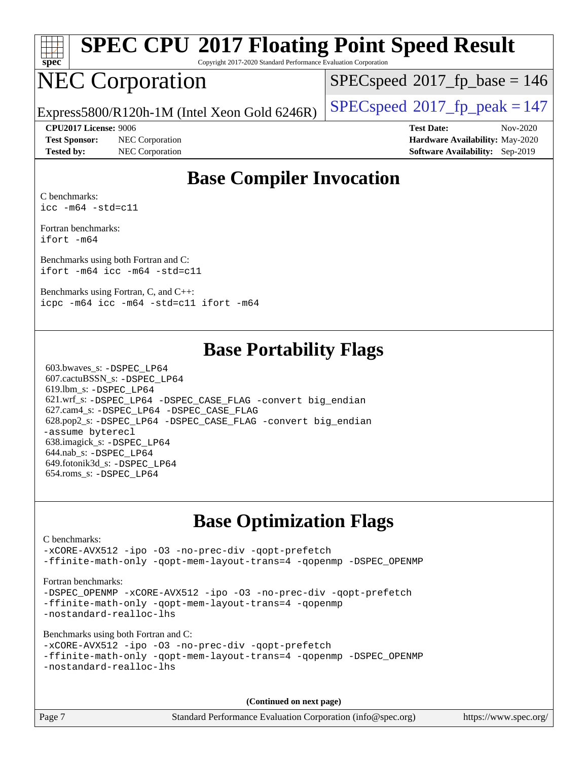| s<br>Æ<br>U<br>Ľ |  |  |  |  |  |  |
|------------------|--|--|--|--|--|--|

# **[SPEC CPU](http://www.spec.org/auto/cpu2017/Docs/result-fields.html#SPECCPU2017FloatingPointSpeedResult)[2017 Floating Point Speed Result](http://www.spec.org/auto/cpu2017/Docs/result-fields.html#SPECCPU2017FloatingPointSpeedResult)**

Copyright 2017-2020 Standard Performance Evaluation Corporation

## NEC Corporation

[SPECspeed](http://www.spec.org/auto/cpu2017/Docs/result-fields.html#SPECspeed2017fpbase)<sup>®</sup>2017 fp base = 146

Express5800/R120h-1M (Intel Xeon Gold 6246R)  $\big|$  [SPECspeed](http://www.spec.org/auto/cpu2017/Docs/result-fields.html#SPECspeed2017fppeak)<sup>®</sup>[2017\\_fp\\_peak = 1](http://www.spec.org/auto/cpu2017/Docs/result-fields.html#SPECspeed2017fppeak)47

**[Test Sponsor:](http://www.spec.org/auto/cpu2017/Docs/result-fields.html#TestSponsor)** NEC Corporation **[Hardware Availability:](http://www.spec.org/auto/cpu2017/Docs/result-fields.html#HardwareAvailability)** May-2020 **[Tested by:](http://www.spec.org/auto/cpu2017/Docs/result-fields.html#Testedby)** NEC Corporation **[Software Availability:](http://www.spec.org/auto/cpu2017/Docs/result-fields.html#SoftwareAvailability)** Sep-2019

**[CPU2017 License:](http://www.spec.org/auto/cpu2017/Docs/result-fields.html#CPU2017License)** 9006 **[Test Date:](http://www.spec.org/auto/cpu2017/Docs/result-fields.html#TestDate)** Nov-2020

### **[Base Compiler Invocation](http://www.spec.org/auto/cpu2017/Docs/result-fields.html#BaseCompilerInvocation)**

[C benchmarks:](http://www.spec.org/auto/cpu2017/Docs/result-fields.html#Cbenchmarks) [icc -m64 -std=c11](http://www.spec.org/cpu2017/results/res2020q4/cpu2017-20201109-24349.flags.html#user_CCbase_intel_icc_64bit_c11_33ee0cdaae7deeeab2a9725423ba97205ce30f63b9926c2519791662299b76a0318f32ddfffdc46587804de3178b4f9328c46fa7c2b0cd779d7a61945c91cd35)

[Fortran benchmarks](http://www.spec.org/auto/cpu2017/Docs/result-fields.html#Fortranbenchmarks): [ifort -m64](http://www.spec.org/cpu2017/results/res2020q4/cpu2017-20201109-24349.flags.html#user_FCbase_intel_ifort_64bit_24f2bb282fbaeffd6157abe4f878425411749daecae9a33200eee2bee2fe76f3b89351d69a8130dd5949958ce389cf37ff59a95e7a40d588e8d3a57e0c3fd751)

[Benchmarks using both Fortran and C:](http://www.spec.org/auto/cpu2017/Docs/result-fields.html#BenchmarksusingbothFortranandC) [ifort -m64](http://www.spec.org/cpu2017/results/res2020q4/cpu2017-20201109-24349.flags.html#user_CC_FCbase_intel_ifort_64bit_24f2bb282fbaeffd6157abe4f878425411749daecae9a33200eee2bee2fe76f3b89351d69a8130dd5949958ce389cf37ff59a95e7a40d588e8d3a57e0c3fd751) [icc -m64 -std=c11](http://www.spec.org/cpu2017/results/res2020q4/cpu2017-20201109-24349.flags.html#user_CC_FCbase_intel_icc_64bit_c11_33ee0cdaae7deeeab2a9725423ba97205ce30f63b9926c2519791662299b76a0318f32ddfffdc46587804de3178b4f9328c46fa7c2b0cd779d7a61945c91cd35)

[Benchmarks using Fortran, C, and C++:](http://www.spec.org/auto/cpu2017/Docs/result-fields.html#BenchmarksusingFortranCandCXX) [icpc -m64](http://www.spec.org/cpu2017/results/res2020q4/cpu2017-20201109-24349.flags.html#user_CC_CXX_FCbase_intel_icpc_64bit_4ecb2543ae3f1412ef961e0650ca070fec7b7afdcd6ed48761b84423119d1bf6bdf5cad15b44d48e7256388bc77273b966e5eb805aefd121eb22e9299b2ec9d9) [icc -m64 -std=c11](http://www.spec.org/cpu2017/results/res2020q4/cpu2017-20201109-24349.flags.html#user_CC_CXX_FCbase_intel_icc_64bit_c11_33ee0cdaae7deeeab2a9725423ba97205ce30f63b9926c2519791662299b76a0318f32ddfffdc46587804de3178b4f9328c46fa7c2b0cd779d7a61945c91cd35) [ifort -m64](http://www.spec.org/cpu2017/results/res2020q4/cpu2017-20201109-24349.flags.html#user_CC_CXX_FCbase_intel_ifort_64bit_24f2bb282fbaeffd6157abe4f878425411749daecae9a33200eee2bee2fe76f3b89351d69a8130dd5949958ce389cf37ff59a95e7a40d588e8d3a57e0c3fd751)

#### **[Base Portability Flags](http://www.spec.org/auto/cpu2017/Docs/result-fields.html#BasePortabilityFlags)**

 603.bwaves\_s: [-DSPEC\\_LP64](http://www.spec.org/cpu2017/results/res2020q4/cpu2017-20201109-24349.flags.html#suite_basePORTABILITY603_bwaves_s_DSPEC_LP64) 607.cactuBSSN\_s: [-DSPEC\\_LP64](http://www.spec.org/cpu2017/results/res2020q4/cpu2017-20201109-24349.flags.html#suite_basePORTABILITY607_cactuBSSN_s_DSPEC_LP64) 619.lbm\_s: [-DSPEC\\_LP64](http://www.spec.org/cpu2017/results/res2020q4/cpu2017-20201109-24349.flags.html#suite_basePORTABILITY619_lbm_s_DSPEC_LP64) 621.wrf\_s: [-DSPEC\\_LP64](http://www.spec.org/cpu2017/results/res2020q4/cpu2017-20201109-24349.flags.html#suite_basePORTABILITY621_wrf_s_DSPEC_LP64) [-DSPEC\\_CASE\\_FLAG](http://www.spec.org/cpu2017/results/res2020q4/cpu2017-20201109-24349.flags.html#b621.wrf_s_baseCPORTABILITY_DSPEC_CASE_FLAG) [-convert big\\_endian](http://www.spec.org/cpu2017/results/res2020q4/cpu2017-20201109-24349.flags.html#user_baseFPORTABILITY621_wrf_s_convert_big_endian_c3194028bc08c63ac5d04de18c48ce6d347e4e562e8892b8bdbdc0214820426deb8554edfa529a3fb25a586e65a3d812c835984020483e7e73212c4d31a38223) 627.cam4\_s: [-DSPEC\\_LP64](http://www.spec.org/cpu2017/results/res2020q4/cpu2017-20201109-24349.flags.html#suite_basePORTABILITY627_cam4_s_DSPEC_LP64) [-DSPEC\\_CASE\\_FLAG](http://www.spec.org/cpu2017/results/res2020q4/cpu2017-20201109-24349.flags.html#b627.cam4_s_baseCPORTABILITY_DSPEC_CASE_FLAG) 628.pop2\_s: [-DSPEC\\_LP64](http://www.spec.org/cpu2017/results/res2020q4/cpu2017-20201109-24349.flags.html#suite_basePORTABILITY628_pop2_s_DSPEC_LP64) [-DSPEC\\_CASE\\_FLAG](http://www.spec.org/cpu2017/results/res2020q4/cpu2017-20201109-24349.flags.html#b628.pop2_s_baseCPORTABILITY_DSPEC_CASE_FLAG) [-convert big\\_endian](http://www.spec.org/cpu2017/results/res2020q4/cpu2017-20201109-24349.flags.html#user_baseFPORTABILITY628_pop2_s_convert_big_endian_c3194028bc08c63ac5d04de18c48ce6d347e4e562e8892b8bdbdc0214820426deb8554edfa529a3fb25a586e65a3d812c835984020483e7e73212c4d31a38223) [-assume byterecl](http://www.spec.org/cpu2017/results/res2020q4/cpu2017-20201109-24349.flags.html#user_baseFPORTABILITY628_pop2_s_assume_byterecl_7e47d18b9513cf18525430bbf0f2177aa9bf368bc7a059c09b2c06a34b53bd3447c950d3f8d6c70e3faf3a05c8557d66a5798b567902e8849adc142926523472) 638.imagick\_s: [-DSPEC\\_LP64](http://www.spec.org/cpu2017/results/res2020q4/cpu2017-20201109-24349.flags.html#suite_basePORTABILITY638_imagick_s_DSPEC_LP64) 644.nab\_s: [-DSPEC\\_LP64](http://www.spec.org/cpu2017/results/res2020q4/cpu2017-20201109-24349.flags.html#suite_basePORTABILITY644_nab_s_DSPEC_LP64) 649.fotonik3d\_s: [-DSPEC\\_LP64](http://www.spec.org/cpu2017/results/res2020q4/cpu2017-20201109-24349.flags.html#suite_basePORTABILITY649_fotonik3d_s_DSPEC_LP64) 654.roms\_s: [-DSPEC\\_LP64](http://www.spec.org/cpu2017/results/res2020q4/cpu2017-20201109-24349.flags.html#suite_basePORTABILITY654_roms_s_DSPEC_LP64)

### **[Base Optimization Flags](http://www.spec.org/auto/cpu2017/Docs/result-fields.html#BaseOptimizationFlags)**

#### [C benchmarks](http://www.spec.org/auto/cpu2017/Docs/result-fields.html#Cbenchmarks): [-xCORE-AVX512](http://www.spec.org/cpu2017/results/res2020q4/cpu2017-20201109-24349.flags.html#user_CCbase_f-xCORE-AVX512) [-ipo](http://www.spec.org/cpu2017/results/res2020q4/cpu2017-20201109-24349.flags.html#user_CCbase_f-ipo) [-O3](http://www.spec.org/cpu2017/results/res2020q4/cpu2017-20201109-24349.flags.html#user_CCbase_f-O3) [-no-prec-div](http://www.spec.org/cpu2017/results/res2020q4/cpu2017-20201109-24349.flags.html#user_CCbase_f-no-prec-div) [-qopt-prefetch](http://www.spec.org/cpu2017/results/res2020q4/cpu2017-20201109-24349.flags.html#user_CCbase_f-qopt-prefetch) [-ffinite-math-only](http://www.spec.org/cpu2017/results/res2020q4/cpu2017-20201109-24349.flags.html#user_CCbase_f_finite_math_only_cb91587bd2077682c4b38af759c288ed7c732db004271a9512da14a4f8007909a5f1427ecbf1a0fb78ff2a814402c6114ac565ca162485bbcae155b5e4258871) [-qopt-mem-layout-trans=4](http://www.spec.org/cpu2017/results/res2020q4/cpu2017-20201109-24349.flags.html#user_CCbase_f-qopt-mem-layout-trans_fa39e755916c150a61361b7846f310bcdf6f04e385ef281cadf3647acec3f0ae266d1a1d22d972a7087a248fd4e6ca390a3634700869573d231a252c784941a8) [-qopenmp](http://www.spec.org/cpu2017/results/res2020q4/cpu2017-20201109-24349.flags.html#user_CCbase_qopenmp_16be0c44f24f464004c6784a7acb94aca937f053568ce72f94b139a11c7c168634a55f6653758ddd83bcf7b8463e8028bb0b48b77bcddc6b78d5d95bb1df2967) [-DSPEC\\_OPENMP](http://www.spec.org/cpu2017/results/res2020q4/cpu2017-20201109-24349.flags.html#suite_CCbase_DSPEC_OPENMP) [Fortran benchmarks](http://www.spec.org/auto/cpu2017/Docs/result-fields.html#Fortranbenchmarks): -DSPEC OPENMP [-xCORE-AVX512](http://www.spec.org/cpu2017/results/res2020q4/cpu2017-20201109-24349.flags.html#user_FCbase_f-xCORE-AVX512) [-ipo](http://www.spec.org/cpu2017/results/res2020q4/cpu2017-20201109-24349.flags.html#user_FCbase_f-ipo) [-O3](http://www.spec.org/cpu2017/results/res2020q4/cpu2017-20201109-24349.flags.html#user_FCbase_f-O3) [-no-prec-div](http://www.spec.org/cpu2017/results/res2020q4/cpu2017-20201109-24349.flags.html#user_FCbase_f-no-prec-div) [-qopt-prefetch](http://www.spec.org/cpu2017/results/res2020q4/cpu2017-20201109-24349.flags.html#user_FCbase_f-qopt-prefetch) [-ffinite-math-only](http://www.spec.org/cpu2017/results/res2020q4/cpu2017-20201109-24349.flags.html#user_FCbase_f_finite_math_only_cb91587bd2077682c4b38af759c288ed7c732db004271a9512da14a4f8007909a5f1427ecbf1a0fb78ff2a814402c6114ac565ca162485bbcae155b5e4258871) [-qopt-mem-layout-trans=4](http://www.spec.org/cpu2017/results/res2020q4/cpu2017-20201109-24349.flags.html#user_FCbase_f-qopt-mem-layout-trans_fa39e755916c150a61361b7846f310bcdf6f04e385ef281cadf3647acec3f0ae266d1a1d22d972a7087a248fd4e6ca390a3634700869573d231a252c784941a8) [-qopenmp](http://www.spec.org/cpu2017/results/res2020q4/cpu2017-20201109-24349.flags.html#user_FCbase_qopenmp_16be0c44f24f464004c6784a7acb94aca937f053568ce72f94b139a11c7c168634a55f6653758ddd83bcf7b8463e8028bb0b48b77bcddc6b78d5d95bb1df2967) [-nostandard-realloc-lhs](http://www.spec.org/cpu2017/results/res2020q4/cpu2017-20201109-24349.flags.html#user_FCbase_f_2003_std_realloc_82b4557e90729c0f113870c07e44d33d6f5a304b4f63d4c15d2d0f1fab99f5daaed73bdb9275d9ae411527f28b936061aa8b9c8f2d63842963b95c9dd6426b8a) [Benchmarks using both Fortran and C](http://www.spec.org/auto/cpu2017/Docs/result-fields.html#BenchmarksusingbothFortranandC): [-xCORE-AVX512](http://www.spec.org/cpu2017/results/res2020q4/cpu2017-20201109-24349.flags.html#user_CC_FCbase_f-xCORE-AVX512) [-ipo](http://www.spec.org/cpu2017/results/res2020q4/cpu2017-20201109-24349.flags.html#user_CC_FCbase_f-ipo) [-O3](http://www.spec.org/cpu2017/results/res2020q4/cpu2017-20201109-24349.flags.html#user_CC_FCbase_f-O3) [-no-prec-div](http://www.spec.org/cpu2017/results/res2020q4/cpu2017-20201109-24349.flags.html#user_CC_FCbase_f-no-prec-div) [-qopt-prefetch](http://www.spec.org/cpu2017/results/res2020q4/cpu2017-20201109-24349.flags.html#user_CC_FCbase_f-qopt-prefetch) [-ffinite-math-only](http://www.spec.org/cpu2017/results/res2020q4/cpu2017-20201109-24349.flags.html#user_CC_FCbase_f_finite_math_only_cb91587bd2077682c4b38af759c288ed7c732db004271a9512da14a4f8007909a5f1427ecbf1a0fb78ff2a814402c6114ac565ca162485bbcae155b5e4258871) [-qopt-mem-layout-trans=4](http://www.spec.org/cpu2017/results/res2020q4/cpu2017-20201109-24349.flags.html#user_CC_FCbase_f-qopt-mem-layout-trans_fa39e755916c150a61361b7846f310bcdf6f04e385ef281cadf3647acec3f0ae266d1a1d22d972a7087a248fd4e6ca390a3634700869573d231a252c784941a8) [-qopenmp](http://www.spec.org/cpu2017/results/res2020q4/cpu2017-20201109-24349.flags.html#user_CC_FCbase_qopenmp_16be0c44f24f464004c6784a7acb94aca937f053568ce72f94b139a11c7c168634a55f6653758ddd83bcf7b8463e8028bb0b48b77bcddc6b78d5d95bb1df2967) [-DSPEC\\_OPENMP](http://www.spec.org/cpu2017/results/res2020q4/cpu2017-20201109-24349.flags.html#suite_CC_FCbase_DSPEC_OPENMP) [-nostandard-realloc-lhs](http://www.spec.org/cpu2017/results/res2020q4/cpu2017-20201109-24349.flags.html#user_CC_FCbase_f_2003_std_realloc_82b4557e90729c0f113870c07e44d33d6f5a304b4f63d4c15d2d0f1fab99f5daaed73bdb9275d9ae411527f28b936061aa8b9c8f2d63842963b95c9dd6426b8a) **(Continued on next page)**

Page 7 Standard Performance Evaluation Corporation [\(info@spec.org\)](mailto:info@spec.org) <https://www.spec.org/>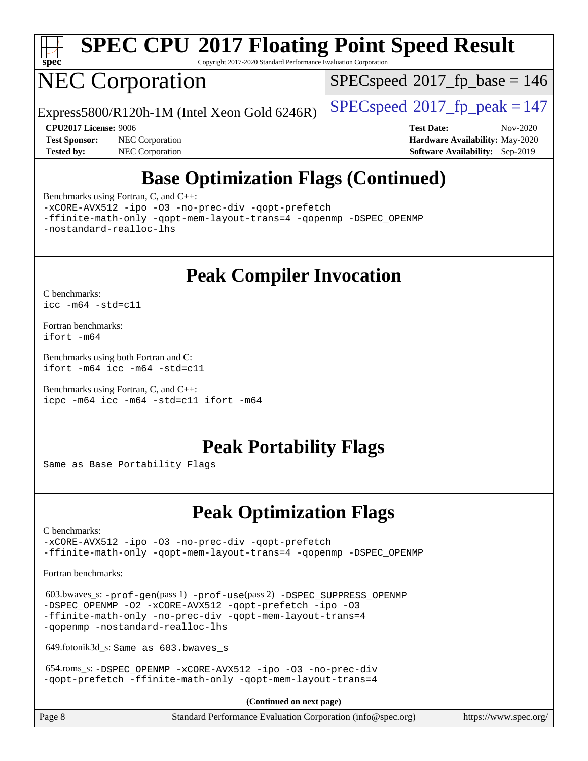

# **[SPEC CPU](http://www.spec.org/auto/cpu2017/Docs/result-fields.html#SPECCPU2017FloatingPointSpeedResult)[2017 Floating Point Speed Result](http://www.spec.org/auto/cpu2017/Docs/result-fields.html#SPECCPU2017FloatingPointSpeedResult)**

Copyright 2017-2020 Standard Performance Evaluation Corporation

## NEC Corporation

[SPECspeed](http://www.spec.org/auto/cpu2017/Docs/result-fields.html#SPECspeed2017fpbase)<sup>®</sup>2017 fp base = 146

Express5800/R120h-1M (Intel Xeon Gold 6246R)  $\big|$  [SPECspeed](http://www.spec.org/auto/cpu2017/Docs/result-fields.html#SPECspeed2017fppeak)®[2017\\_fp\\_peak = 1](http://www.spec.org/auto/cpu2017/Docs/result-fields.html#SPECspeed2017fppeak)47

**[Tested by:](http://www.spec.org/auto/cpu2017/Docs/result-fields.html#Testedby)** NEC Corporation **[Software Availability:](http://www.spec.org/auto/cpu2017/Docs/result-fields.html#SoftwareAvailability)** Sep-2019

**[CPU2017 License:](http://www.spec.org/auto/cpu2017/Docs/result-fields.html#CPU2017License)** 9006 **[Test Date:](http://www.spec.org/auto/cpu2017/Docs/result-fields.html#TestDate)** Nov-2020 **[Test Sponsor:](http://www.spec.org/auto/cpu2017/Docs/result-fields.html#TestSponsor)** NEC Corporation **[Hardware Availability:](http://www.spec.org/auto/cpu2017/Docs/result-fields.html#HardwareAvailability)** May-2020

## **[Base Optimization Flags \(Continued\)](http://www.spec.org/auto/cpu2017/Docs/result-fields.html#BaseOptimizationFlags)**

[Benchmarks using Fortran, C, and C++:](http://www.spec.org/auto/cpu2017/Docs/result-fields.html#BenchmarksusingFortranCandCXX)

[-xCORE-AVX512](http://www.spec.org/cpu2017/results/res2020q4/cpu2017-20201109-24349.flags.html#user_CC_CXX_FCbase_f-xCORE-AVX512) [-ipo](http://www.spec.org/cpu2017/results/res2020q4/cpu2017-20201109-24349.flags.html#user_CC_CXX_FCbase_f-ipo) [-O3](http://www.spec.org/cpu2017/results/res2020q4/cpu2017-20201109-24349.flags.html#user_CC_CXX_FCbase_f-O3) [-no-prec-div](http://www.spec.org/cpu2017/results/res2020q4/cpu2017-20201109-24349.flags.html#user_CC_CXX_FCbase_f-no-prec-div) [-qopt-prefetch](http://www.spec.org/cpu2017/results/res2020q4/cpu2017-20201109-24349.flags.html#user_CC_CXX_FCbase_f-qopt-prefetch)

[-ffinite-math-only](http://www.spec.org/cpu2017/results/res2020q4/cpu2017-20201109-24349.flags.html#user_CC_CXX_FCbase_f_finite_math_only_cb91587bd2077682c4b38af759c288ed7c732db004271a9512da14a4f8007909a5f1427ecbf1a0fb78ff2a814402c6114ac565ca162485bbcae155b5e4258871) [-qopt-mem-layout-trans=4](http://www.spec.org/cpu2017/results/res2020q4/cpu2017-20201109-24349.flags.html#user_CC_CXX_FCbase_f-qopt-mem-layout-trans_fa39e755916c150a61361b7846f310bcdf6f04e385ef281cadf3647acec3f0ae266d1a1d22d972a7087a248fd4e6ca390a3634700869573d231a252c784941a8) [-qopenmp](http://www.spec.org/cpu2017/results/res2020q4/cpu2017-20201109-24349.flags.html#user_CC_CXX_FCbase_qopenmp_16be0c44f24f464004c6784a7acb94aca937f053568ce72f94b139a11c7c168634a55f6653758ddd83bcf7b8463e8028bb0b48b77bcddc6b78d5d95bb1df2967) [-DSPEC\\_OPENMP](http://www.spec.org/cpu2017/results/res2020q4/cpu2017-20201109-24349.flags.html#suite_CC_CXX_FCbase_DSPEC_OPENMP) [-nostandard-realloc-lhs](http://www.spec.org/cpu2017/results/res2020q4/cpu2017-20201109-24349.flags.html#user_CC_CXX_FCbase_f_2003_std_realloc_82b4557e90729c0f113870c07e44d33d6f5a304b4f63d4c15d2d0f1fab99f5daaed73bdb9275d9ae411527f28b936061aa8b9c8f2d63842963b95c9dd6426b8a)

**[Peak Compiler Invocation](http://www.spec.org/auto/cpu2017/Docs/result-fields.html#PeakCompilerInvocation)**

[C benchmarks](http://www.spec.org/auto/cpu2017/Docs/result-fields.html#Cbenchmarks): [icc -m64 -std=c11](http://www.spec.org/cpu2017/results/res2020q4/cpu2017-20201109-24349.flags.html#user_CCpeak_intel_icc_64bit_c11_33ee0cdaae7deeeab2a9725423ba97205ce30f63b9926c2519791662299b76a0318f32ddfffdc46587804de3178b4f9328c46fa7c2b0cd779d7a61945c91cd35)

[Fortran benchmarks](http://www.spec.org/auto/cpu2017/Docs/result-fields.html#Fortranbenchmarks): [ifort -m64](http://www.spec.org/cpu2017/results/res2020q4/cpu2017-20201109-24349.flags.html#user_FCpeak_intel_ifort_64bit_24f2bb282fbaeffd6157abe4f878425411749daecae9a33200eee2bee2fe76f3b89351d69a8130dd5949958ce389cf37ff59a95e7a40d588e8d3a57e0c3fd751)

[Benchmarks using both Fortran and C](http://www.spec.org/auto/cpu2017/Docs/result-fields.html#BenchmarksusingbothFortranandC): [ifort -m64](http://www.spec.org/cpu2017/results/res2020q4/cpu2017-20201109-24349.flags.html#user_CC_FCpeak_intel_ifort_64bit_24f2bb282fbaeffd6157abe4f878425411749daecae9a33200eee2bee2fe76f3b89351d69a8130dd5949958ce389cf37ff59a95e7a40d588e8d3a57e0c3fd751) [icc -m64 -std=c11](http://www.spec.org/cpu2017/results/res2020q4/cpu2017-20201109-24349.flags.html#user_CC_FCpeak_intel_icc_64bit_c11_33ee0cdaae7deeeab2a9725423ba97205ce30f63b9926c2519791662299b76a0318f32ddfffdc46587804de3178b4f9328c46fa7c2b0cd779d7a61945c91cd35)

[Benchmarks using Fortran, C, and C++:](http://www.spec.org/auto/cpu2017/Docs/result-fields.html#BenchmarksusingFortranCandCXX) [icpc -m64](http://www.spec.org/cpu2017/results/res2020q4/cpu2017-20201109-24349.flags.html#user_CC_CXX_FCpeak_intel_icpc_64bit_4ecb2543ae3f1412ef961e0650ca070fec7b7afdcd6ed48761b84423119d1bf6bdf5cad15b44d48e7256388bc77273b966e5eb805aefd121eb22e9299b2ec9d9) [icc -m64 -std=c11](http://www.spec.org/cpu2017/results/res2020q4/cpu2017-20201109-24349.flags.html#user_CC_CXX_FCpeak_intel_icc_64bit_c11_33ee0cdaae7deeeab2a9725423ba97205ce30f63b9926c2519791662299b76a0318f32ddfffdc46587804de3178b4f9328c46fa7c2b0cd779d7a61945c91cd35) [ifort -m64](http://www.spec.org/cpu2017/results/res2020q4/cpu2017-20201109-24349.flags.html#user_CC_CXX_FCpeak_intel_ifort_64bit_24f2bb282fbaeffd6157abe4f878425411749daecae9a33200eee2bee2fe76f3b89351d69a8130dd5949958ce389cf37ff59a95e7a40d588e8d3a57e0c3fd751)

### **[Peak Portability Flags](http://www.spec.org/auto/cpu2017/Docs/result-fields.html#PeakPortabilityFlags)**

Same as Base Portability Flags

## **[Peak Optimization Flags](http://www.spec.org/auto/cpu2017/Docs/result-fields.html#PeakOptimizationFlags)**

[C benchmarks](http://www.spec.org/auto/cpu2017/Docs/result-fields.html#Cbenchmarks):

[-xCORE-AVX512](http://www.spec.org/cpu2017/results/res2020q4/cpu2017-20201109-24349.flags.html#user_CCpeak_f-xCORE-AVX512) [-ipo](http://www.spec.org/cpu2017/results/res2020q4/cpu2017-20201109-24349.flags.html#user_CCpeak_f-ipo) [-O3](http://www.spec.org/cpu2017/results/res2020q4/cpu2017-20201109-24349.flags.html#user_CCpeak_f-O3) [-no-prec-div](http://www.spec.org/cpu2017/results/res2020q4/cpu2017-20201109-24349.flags.html#user_CCpeak_f-no-prec-div) [-qopt-prefetch](http://www.spec.org/cpu2017/results/res2020q4/cpu2017-20201109-24349.flags.html#user_CCpeak_f-qopt-prefetch) [-ffinite-math-only](http://www.spec.org/cpu2017/results/res2020q4/cpu2017-20201109-24349.flags.html#user_CCpeak_f_finite_math_only_cb91587bd2077682c4b38af759c288ed7c732db004271a9512da14a4f8007909a5f1427ecbf1a0fb78ff2a814402c6114ac565ca162485bbcae155b5e4258871) [-qopt-mem-layout-trans=4](http://www.spec.org/cpu2017/results/res2020q4/cpu2017-20201109-24349.flags.html#user_CCpeak_f-qopt-mem-layout-trans_fa39e755916c150a61361b7846f310bcdf6f04e385ef281cadf3647acec3f0ae266d1a1d22d972a7087a248fd4e6ca390a3634700869573d231a252c784941a8) [-qopenmp](http://www.spec.org/cpu2017/results/res2020q4/cpu2017-20201109-24349.flags.html#user_CCpeak_qopenmp_16be0c44f24f464004c6784a7acb94aca937f053568ce72f94b139a11c7c168634a55f6653758ddd83bcf7b8463e8028bb0b48b77bcddc6b78d5d95bb1df2967) [-DSPEC\\_OPENMP](http://www.spec.org/cpu2017/results/res2020q4/cpu2017-20201109-24349.flags.html#suite_CCpeak_DSPEC_OPENMP)

[Fortran benchmarks](http://www.spec.org/auto/cpu2017/Docs/result-fields.html#Fortranbenchmarks):

 603.bwaves\_s: [-prof-gen](http://www.spec.org/cpu2017/results/res2020q4/cpu2017-20201109-24349.flags.html#user_peakPASS1_FFLAGSPASS1_LDFLAGS603_bwaves_s_prof_gen_5aa4926d6013ddb2a31985c654b3eb18169fc0c6952a63635c234f711e6e63dd76e94ad52365559451ec499a2cdb89e4dc58ba4c67ef54ca681ffbe1461d6b36)(pass 1) [-prof-use](http://www.spec.org/cpu2017/results/res2020q4/cpu2017-20201109-24349.flags.html#user_peakPASS2_FFLAGSPASS2_LDFLAGS603_bwaves_s_prof_use_1a21ceae95f36a2b53c25747139a6c16ca95bd9def2a207b4f0849963b97e94f5260e30a0c64f4bb623698870e679ca08317ef8150905d41bd88c6f78df73f19)(pass 2) [-DSPEC\\_SUPPRESS\\_OPENMP](http://www.spec.org/cpu2017/results/res2020q4/cpu2017-20201109-24349.flags.html#suite_peakPASS1_FOPTIMIZE603_bwaves_s_DSPEC_SUPPRESS_OPENMP) -DSPEC OPENMP [-O2](http://www.spec.org/cpu2017/results/res2020q4/cpu2017-20201109-24349.flags.html#user_peakPASS1_FOPTIMIZE603_bwaves_s_f-O2) [-xCORE-AVX512](http://www.spec.org/cpu2017/results/res2020q4/cpu2017-20201109-24349.flags.html#user_peakPASS2_FOPTIMIZE603_bwaves_s_f-xCORE-AVX512) [-qopt-prefetch](http://www.spec.org/cpu2017/results/res2020q4/cpu2017-20201109-24349.flags.html#user_peakPASS1_FOPTIMIZEPASS2_FOPTIMIZE603_bwaves_s_f-qopt-prefetch) [-ipo](http://www.spec.org/cpu2017/results/res2020q4/cpu2017-20201109-24349.flags.html#user_peakPASS2_FOPTIMIZE603_bwaves_s_f-ipo) [-O3](http://www.spec.org/cpu2017/results/res2020q4/cpu2017-20201109-24349.flags.html#user_peakPASS2_FOPTIMIZE603_bwaves_s_f-O3) [-ffinite-math-only](http://www.spec.org/cpu2017/results/res2020q4/cpu2017-20201109-24349.flags.html#user_peakPASS1_FOPTIMIZEPASS2_FOPTIMIZE603_bwaves_s_f_finite_math_only_cb91587bd2077682c4b38af759c288ed7c732db004271a9512da14a4f8007909a5f1427ecbf1a0fb78ff2a814402c6114ac565ca162485bbcae155b5e4258871) [-no-prec-div](http://www.spec.org/cpu2017/results/res2020q4/cpu2017-20201109-24349.flags.html#user_peakPASS2_FOPTIMIZE603_bwaves_s_f-no-prec-div) [-qopt-mem-layout-trans=4](http://www.spec.org/cpu2017/results/res2020q4/cpu2017-20201109-24349.flags.html#user_peakPASS1_FOPTIMIZEPASS2_FOPTIMIZE603_bwaves_s_f-qopt-mem-layout-trans_fa39e755916c150a61361b7846f310bcdf6f04e385ef281cadf3647acec3f0ae266d1a1d22d972a7087a248fd4e6ca390a3634700869573d231a252c784941a8) [-qopenmp](http://www.spec.org/cpu2017/results/res2020q4/cpu2017-20201109-24349.flags.html#user_peakPASS2_FOPTIMIZE603_bwaves_s_qopenmp_16be0c44f24f464004c6784a7acb94aca937f053568ce72f94b139a11c7c168634a55f6653758ddd83bcf7b8463e8028bb0b48b77bcddc6b78d5d95bb1df2967) [-nostandard-realloc-lhs](http://www.spec.org/cpu2017/results/res2020q4/cpu2017-20201109-24349.flags.html#user_peakEXTRA_FOPTIMIZE603_bwaves_s_f_2003_std_realloc_82b4557e90729c0f113870c07e44d33d6f5a304b4f63d4c15d2d0f1fab99f5daaed73bdb9275d9ae411527f28b936061aa8b9c8f2d63842963b95c9dd6426b8a)

649.fotonik3d\_s: Same as 603.bwaves\_s

 654.roms\_s: [-DSPEC\\_OPENMP](http://www.spec.org/cpu2017/results/res2020q4/cpu2017-20201109-24349.flags.html#suite_peakFOPTIMIZE654_roms_s_DSPEC_OPENMP) [-xCORE-AVX512](http://www.spec.org/cpu2017/results/res2020q4/cpu2017-20201109-24349.flags.html#user_peakFOPTIMIZE654_roms_s_f-xCORE-AVX512) [-ipo](http://www.spec.org/cpu2017/results/res2020q4/cpu2017-20201109-24349.flags.html#user_peakFOPTIMIZE654_roms_s_f-ipo) [-O3](http://www.spec.org/cpu2017/results/res2020q4/cpu2017-20201109-24349.flags.html#user_peakFOPTIMIZE654_roms_s_f-O3) [-no-prec-div](http://www.spec.org/cpu2017/results/res2020q4/cpu2017-20201109-24349.flags.html#user_peakFOPTIMIZE654_roms_s_f-no-prec-div) [-qopt-prefetch](http://www.spec.org/cpu2017/results/res2020q4/cpu2017-20201109-24349.flags.html#user_peakFOPTIMIZE654_roms_s_f-qopt-prefetch) [-ffinite-math-only](http://www.spec.org/cpu2017/results/res2020q4/cpu2017-20201109-24349.flags.html#user_peakFOPTIMIZE654_roms_s_f_finite_math_only_cb91587bd2077682c4b38af759c288ed7c732db004271a9512da14a4f8007909a5f1427ecbf1a0fb78ff2a814402c6114ac565ca162485bbcae155b5e4258871) [-qopt-mem-layout-trans=4](http://www.spec.org/cpu2017/results/res2020q4/cpu2017-20201109-24349.flags.html#user_peakFOPTIMIZE654_roms_s_f-qopt-mem-layout-trans_fa39e755916c150a61361b7846f310bcdf6f04e385ef281cadf3647acec3f0ae266d1a1d22d972a7087a248fd4e6ca390a3634700869573d231a252c784941a8)

**(Continued on next page)**